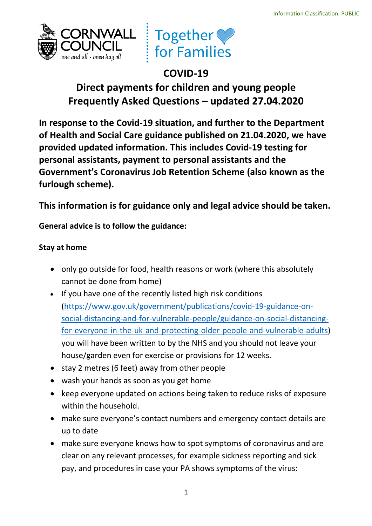



# **COVID-19 Direct payments for children and young people Frequently Asked Questions – updated 27.04.2020**

 **provided updated information. This includes Covid-19 testing for In response to the Covid-19 situation, and further to the Department of Health and Social Care guidance published on 21.04.2020, we have personal assistants, payment to personal assistants and the Government's Coronavirus Job Retention Scheme (also known as the furlough scheme).** 

This information is for guidance only and legal advice should be taken.<br>General advice is to follow the guidance:

# **Stay at home**

- • only go outside for food, health reasons or work (where this absolutely cannot be done from home)
- • If you have one of the recently listed high risk conditions you will have been written to by the NHS and you should not leave your house/garden even for exercise or provisions for 12 weeks. [\(https://www.gov.uk/government/publications/covid-19-guidance-on](https://www.gov.uk/government/publications/covid-19-guidance-on-social-distancing-and-for-vulnerable-people/guidance-on-social-distancing-for-everyone-in-the-uk-and-protecting-older-people-and-vulnerable-adults)[social-distancing-and-for-vulnerable-people/guidance-on-social-distancing](https://www.gov.uk/government/publications/covid-19-guidance-on-social-distancing-and-for-vulnerable-people/guidance-on-social-distancing-for-everyone-in-the-uk-and-protecting-older-people-and-vulnerable-adults)[for-everyone-in-the-uk-and-protecting-older-people-and-vulnerable-adults\)](https://www.gov.uk/government/publications/covid-19-guidance-on-social-distancing-and-for-vulnerable-people/guidance-on-social-distancing-for-everyone-in-the-uk-and-protecting-older-people-and-vulnerable-adults)
- stay 2 metres (6 feet) away from other people
- wash your hands as soon as you get home
- • keep everyone updated on actions being taken to reduce risks of exposure within the household.
- make sure everyone's contact numbers and emergency contact details are up to date
- clear on any relevant processes, for example sickness reporting and sick • make sure everyone knows how to spot symptoms of coronavirus and are pay, and procedures in case your PA shows symptoms of the virus: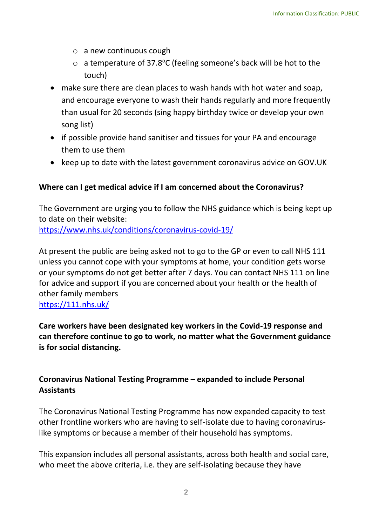- o a new continuous cough
- $\circ$  a temperature of 37.8°C (feeling someone's back will be hot to the touch)
- • make sure there are clean places to wash hands with hot water and soap, and encourage everyone to wash their hands regularly and more frequently than usual for 20 seconds (sing happy birthday twice or develop your own song list)
- • if possible provide hand sanitiser and tissues for your PA and encourage them to use them
- keep up to date with the latest government coronavirus advice on GOV.UK

# **Where can I get medical advice if I am concerned about the Coronavirus?**

 The Government are urging you to follow the NHS guidance which is being kept up to date on their website: <https://www.nhs.uk/conditions/coronavirus-covid-19/>

 At present the public are being asked not to go to the GP or even to call NHS 111 or your symptoms do not get better after 7 days. You can contact NHS 111 on line for advice and support if you are concerned about your health or the health of unless you cannot cope with your symptoms at home, your condition gets worse other family members

<https://111.nhs.uk/>

 **can therefore continue to go to work, no matter what the Government guidance is for social distancing. Care workers have been designated key workers in the Covid-19 response and** 

## **Coronavirus National Testing Programme – expanded to include Personal Assistants**

 The Coronavirus National Testing Programme has now expanded capacity to test other frontline workers who are having to self-isolate due to having coronaviruslike symptoms or because a member of their household has symptoms.

 This expansion includes all personal assistants, across both health and social care, who meet the above criteria, i.e. they are self-isolating because they have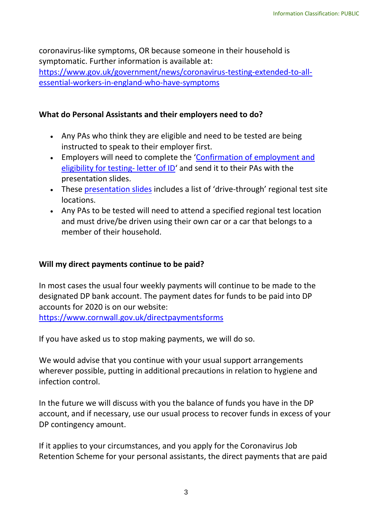coronavirus-like symptoms, OR because someone in their household is symptomatic. Further information is available at: [https://www.gov.uk/government/news/coronavirus-testing-extended-to-all](https://www.gov.uk/government/news/coronavirus-testing-extended-to-all-essential-workers-in-england-who-have-symptoms)[essential-workers-in-england-who-have-symptoms](https://www.gov.uk/government/news/coronavirus-testing-extended-to-all-essential-workers-in-england-who-have-symptoms) 

## **What do Personal Assistants and their employers need to do?**

- • Any PAs who think they are eligible and need to be tested are being instructed to speak to their employer first.
- [eligibility for testing-](https://elinkeu.clickdimensions.com/c/6/?T=MjQ3NDI1NDY%3AcDEtYjIwMTEyLTE2ZDkzMGU0Mjk5YTQ4Mzk5NjQ3OTBjMzg1OWJkMWNh%3Aam9oYW5uZS5yb3NzQGtkYy5vcmcudWs%3AY29udGFjdC0wYTdhOTVjNmE4MzRlNzExODBkMzAwNTA1Njg3N2NiOS1jYjUwOGRiN2I5OTI0YjMwYTJhYjE3Y2NkM2Q5ZjY4NQ%3AdHJ1ZQ%3AMQ%3A%3AaHR0cHM6Ly93d3cuc2tpbGxzZm9yY2FyZS5vcmcudWsvRG9jdW1lbnRzL0NvdmlkLTE5LWludml0YXRpb24tZm9yLXRlc3RpbmcuZG9jeD9fY2xkZWU9YW05b1lXNXVaUzV5YjNOelFHdGtZeTV2Y21jdWRXcyUzZCZyZWNpcGllbnRpZD1jb250YWN0LTBhN2E5NWM2YTgzNGU3MTE4MGQzMDA1MDU2ODc3Y2I5LWNiNTA4ZGI3Yjk5MjRiMzBhMmFiMTdjY2QzZDlmNjg1JmVzaWQ9ZGM2ZWI3MDUtYmU4My1lYTExLTgwZTAtMDA1MDU2ODc3Y2I5&K=GcvvwWRsGgwrjiX1VqmPpg) letter of ID' and send it to their PAs with the • Employers will need to complete the '[Confirmation of employment and](https://elinkeu.clickdimensions.com/c/6/?T=MjQ3NDI1NDY%3AcDEtYjIwMTEyLTE2ZDkzMGU0Mjk5YTQ4Mzk5NjQ3OTBjMzg1OWJkMWNh%3Aam9oYW5uZS5yb3NzQGtkYy5vcmcudWs%3AY29udGFjdC0wYTdhOTVjNmE4MzRlNzExODBkMzAwNTA1Njg3N2NiOS1jYjUwOGRiN2I5OTI0YjMwYTJhYjE3Y2NkM2Q5ZjY4NQ%3AdHJ1ZQ%3AMQ%3A%3AaHR0cHM6Ly93d3cuc2tpbGxzZm9yY2FyZS5vcmcudWsvRG9jdW1lbnRzL0NvdmlkLTE5LWludml0YXRpb24tZm9yLXRlc3RpbmcuZG9jeD9fY2xkZWU9YW05b1lXNXVaUzV5YjNOelFHdGtZeTV2Y21jdWRXcyUzZCZyZWNpcGllbnRpZD1jb250YWN0LTBhN2E5NWM2YTgzNGU3MTE4MGQzMDA1MDU2ODc3Y2I5LWNiNTA4ZGI3Yjk5MjRiMzBhMmFiMTdjY2QzZDlmNjg1JmVzaWQ9ZGM2ZWI3MDUtYmU4My1lYTExLTgwZTAtMDA1MDU2ODc3Y2I5&K=GcvvwWRsGgwrjiX1VqmPpg)  presentation slides.
- These [presentation slides](https://elinkeu.clickdimensions.com/c/6/?T=MjQ3NDI1NDY%3AcDEtYjIwMTEyLTE2ZDkzMGU0Mjk5YTQ4Mzk5NjQ3OTBjMzg1OWJkMWNh%3AdmljdG9yaWEuYXRoZXJ0b25AY2hlc2hpcmVjaWwub3Jn%3AY29udGFjdC02YTJkNDFhMGE2MjRlOTExODBkYzAwNTA1Njg3N2NiOS00NGNmY2RiOTUyZTg0NmNmODgzYmZjMzQ4NGEwM2IyOQ%3AdHJ1ZQ%3AMg%3A%3AaHR0cHM6Ly93d3cuc2tpbGxzZm9yY2FyZS5vcmcudWsvRG9jdW1lbnRzL0NvdmlkLTE5LVRlc3RpbmctZm9yLXBlcnNvbmFsLWNhcmUtYXNzaXN0YW50cy5wcHR4P19jbGRlZT1kbWxqZEc5eWFXRXVZWFJvWlhKMGIyNUFZMmhsYzJocGNtVmphV3d1YjNKbiZyZWNpcGllbnRpZD1jb250YWN0LTZhMmQ0MWEwYTYyNGU5MTE4MGRjMDA1MDU2ODc3Y2I5LTQ0Y2ZjZGI5NTJlODQ2Y2Y4ODNiZmMzNDg0YTAzYjI5JmVzaWQ9ZGM2ZWI3MDUtYmU4My1lYTExLTgwZTAtMDA1MDU2ODc3Y2I5&K=YmhsS1l_TLYkTT_DZlUdxw) includes a list of 'drive-through' regional test site locations.
- • Any PAs to be tested will need to attend a specified regional test location and must drive/be driven using their own car or a car that belongs to a member of their household.

## **Will my direct payments continue to be paid?**

 designated DP bank account. The payment dates for funds to be paid into DP In most cases the usual four weekly payments will continue to be made to the accounts for 2020 is on our website: <https://www.cornwall.gov.uk/directpaymentsforms>

If you have asked us to stop making payments, we will do so.

 We would advise that you continue with your usual support arrangements wherever possible, putting in additional precautions in relation to hygiene and infection control.

 In the future we will discuss with you the balance of funds you have in the DP account, and if necessary, use our usual process to recover funds in excess of your DP contingency amount.

If it applies to your circumstances, and you apply for the Coronavirus Job Retention Scheme for your personal assistants, the direct payments that are paid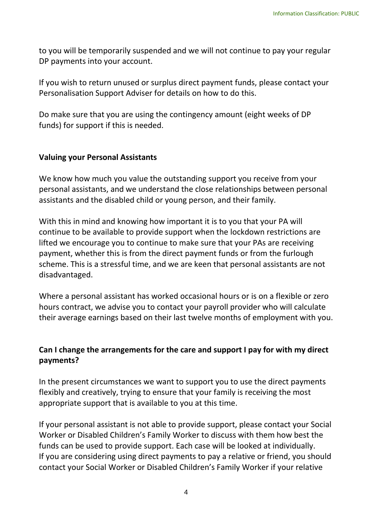to you will be temporarily suspended and we will not continue to pay your regular DP payments into your account.

 If you wish to return unused or surplus direct payment funds, please contact your Personalisation Support Adviser for details on how to do this.

 Do make sure that you are using the contingency amount (eight weeks of DP funds) for support if this is needed.

#### **Valuing your Personal Assistants**

 We know how much you value the outstanding support you receive from your assistants and the disabled child or young person, and their family. personal assistants, and we understand the close relationships between personal

 With this in mind and knowing how important it is to you that your PA will continue to be available to provide support when the lockdown restrictions are scheme. This is a stressful time, and we are keen that personal assistants are not lifted we encourage you to continue to make sure that your PAs are receiving payment, whether this is from the direct payment funds or from the furlough disadvantaged.

 Where a personal assistant has worked occasional hours or is on a flexible or zero hours contract, we advise you to contact your payroll provider who will calculate their average earnings based on their last twelve months of employment with you.

## **Can I change the arrangements for the care and support I pay for with my direct payments?**

In the present circumstances we want to support you to use the direct payments flexibly and creatively, trying to ensure that your family is receiving the most appropriate support that is available to you at this time.

 If your personal assistant is not able to provide support, please contact your Social Worker or Disabled Children's Family Worker to discuss with them how best the funds can be used to provide support. Each case will be looked at individually. If you are considering using direct payments to pay a relative or friend, you should contact your Social Worker or Disabled Children's Family Worker if your relative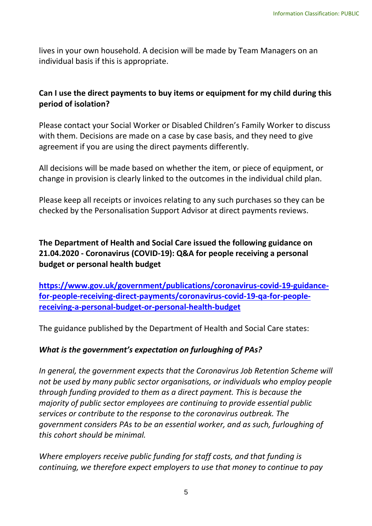lives in your own household. A decision will be made by Team Managers on an individual basis if this is appropriate.

## **Can I use the direct payments to buy items or equipment for my child during this period of isolation?**

 with them. Decisions are made on a case by case basis, and they need to give Please contact your Social Worker or Disabled Children's Family Worker to discuss agreement if you are using the direct payments differently.

 All decisions will be made based on whether the item, or piece of equipment, or change in provision is clearly linked to the outcomes in the individual child plan.

 Please keep all receipts or invoices relating to any such purchases so they can be checked by the Personalisation Support Advisor at direct payments reviews.

# **21.04.2020 - Coronavirus (COVID-19): Q&A for people receiving a personal budget or personal health budget The Department of Health and Social Care issued the following guidance on**

**[https://www.gov.uk/government/publications/coronavirus-covid-19-guidance](https://www.gov.uk/government/publications/coronavirus-covid-19-guidance-for-people-receiving-direct-payments/coronavirus-covid-19-qa-for-people-receiving-a-personal-budget-or-personal-health-budget)[for-people-receiving-direct-payments/coronavirus-covid-19-qa-for-people](https://www.gov.uk/government/publications/coronavirus-covid-19-guidance-for-people-receiving-direct-payments/coronavirus-covid-19-qa-for-people-receiving-a-personal-budget-or-personal-health-budget)[receiving-a-personal-budget-or-personal-health-budget](https://www.gov.uk/government/publications/coronavirus-covid-19-guidance-for-people-receiving-direct-payments/coronavirus-covid-19-qa-for-people-receiving-a-personal-budget-or-personal-health-budget)** 

The guidance published by the Department of Health and Social Care states:

# *What is the government's expectation on furloughing of PAs?*

 *not be used by many public sector organisations, or individuals who employ people through funding provided to them as a direct payment. This is because the services or contribute to the response to the coronavirus outbreak. The government considers PAs to be an essential worker, and as such, furloughing of In general, the government expects that the Coronavirus Job Retention Scheme will majority of public sector employees are continuing to provide essential public this cohort should be minimal.* 

 *continuing, we therefore expect employers to use that money to continue to pay Where employers receive public funding for staff costs, and that funding is*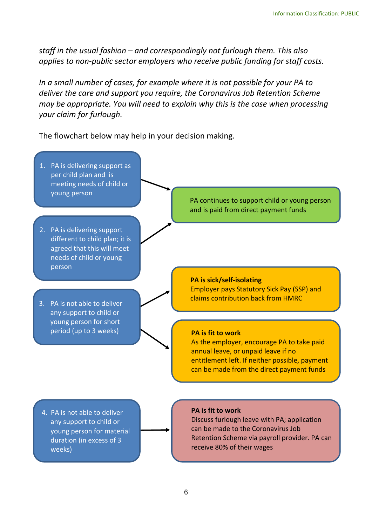*staff in the usual fashion – and correspondingly not furlough them. This also applies to non-public sector employers who receive public funding for staff costs.* 

 *In a small number of cases, for example where it is not possible for your PA to deliver the care and support you require, the Coronavirus Job Retention Scheme may be appropriate. You will need to explain why this is the case when processing your claim for furlough.* 

The flowchart below may help in your decision making.

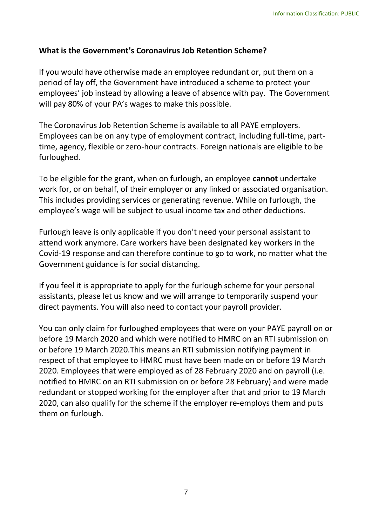## **What is the Government's Coronavirus Job Retention Scheme?**

 If you would have otherwise made an employee redundant or, put them on a employees' job instead by allowing a leave of absence with pay. The Government period of lay off, the Government have introduced a scheme to protect your will pay 80% of your PA's wages to make this possible.

 Employees can be on any type of employment contract, including full-time, part- time, agency, flexible or zero-hour contracts. Foreign nationals are eligible to be The Coronavirus Job Retention Scheme is available to all PAYE employers. furloughed.

 To be eligible for the grant, when on furlough, an employee **cannot** undertake work for, or on behalf, of their employer or any linked or associated organisation. employee's wage will be subject to usual income tax and other deductions. This includes providing services or generating revenue. While on furlough, the

 Furlough leave is only applicable if you don't need your personal assistant to attend work anymore. Care workers have been designated key workers in the Covid-19 response and can therefore continue to go to work, no matter what the Government guidance is for social distancing.

 direct payments. You will also need to contact your payroll provider. If you feel it is appropriate to apply for the furlough scheme for your personal assistants, please let us know and we will arrange to temporarily suspend your

 You can only claim for furloughed employees that were on your PAYE payroll on or before 19 March 2020 and which were notified to HMRC on an RTI submission on or before 19 March 2020.This means an RTI submission notifying payment in respect of that employee to HMRC must have been made on or before 19 March 2020. Employees that were employed as of 28 February 2020 and on payroll (i.e. notified to HMRC on an RTI submission on or before 28 February) and were made redundant or stopped working for the employer after that and prior to 19 March 2020, can also qualify for the scheme if the employer re-employs them and puts them on furlough.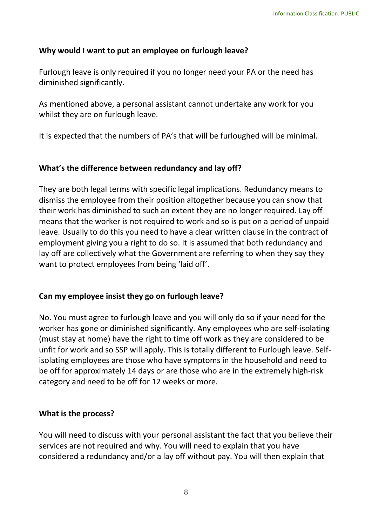## **Why would I want to put an employee on furlough leave?**

 Furlough leave is only required if you no longer need your PA or the need has diminished significantly.

diminished significantly.<br>As mentioned above, a personal assistant cannot undertake any work for you whilst they are on furlough leave.

It is expected that the numbers of PA's that will be furloughed will be minimal.

### **What's the difference between redundancy and lay off?**

 They are both legal terms with specific legal implications. Redundancy means to dismiss the employee from their position altogether because you can show that their work has diminished to such an extent they are no longer required. Lay off means that the worker is not required to work and so is put on a period of unpaid leave. Usually to do this you need to have a clear written clause in the contract of employment giving you a right to do so. It is assumed that both redundancy and lay off are collectively what the Government are referring to when they say they want to protect employees from being 'laid off'.

# **Can my employee insist they go on furlough leave?**

 No. You must agree to furlough leave and you will only do so if your need for the worker has gone or diminished significantly. Any employees who are self-isolating unfit for work and so SSP will apply. This is totally different to Furlough leave. Self- isolating employees are those who have symptoms in the household and need to category and need to be off for 12 weeks or more. (must stay at home) have the right to time off work as they are considered to be be off for approximately 14 days or are those who are in the extremely high-risk

## **What is the process?**

 You will need to discuss with your personal assistant the fact that you believe their services are not required and why. You will need to explain that you have considered a redundancy and/or a lay off without pay. You will then explain that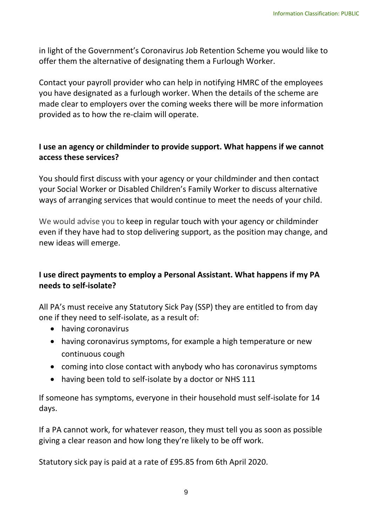offer them the alternative of designating them a Furlough Worker. in light of the Government's Coronavirus Job Retention Scheme you would like to

 Contact your payroll provider who can help in notifying HMRC of the employees you have designated as a furlough worker. When the details of the scheme are provided as to how the re-claim will operate. made clear to employers over the coming weeks there will be more information

## **I use an agency or childminder to provide support. What happens if we cannot access these services?**

 You should first discuss with your agency or your childminder and then contact ways of arranging services that would continue to meet the needs of your child. your Social Worker or Disabled Children's Family Worker to discuss alternative

 We would advise you to keep in regular touch with your agency or childminder even if they have had to stop delivering support, as the position may change, and new ideas will emerge.

## **I use direct payments to employ a Personal Assistant. What happens if my PA needs to self-isolate?**

 All PA's must receive any Statutory Sick Pay (SSP) they are entitled to from day one if they need to self-isolate, as a result of:

- having coronavirus
- • having coronavirus symptoms, for example a high temperature or new continuous cough
- coming into close contact with anybody who has coronavirus symptoms
- having been told to self-isolate by a doctor or NHS 111

 If someone has symptoms, everyone in their household must self-isolate for 14 days.

 giving a clear reason and how long they're likely to be off work. If a PA cannot work, for whatever reason, they must tell you as soon as possible

Statutory sick pay is paid at a rate of £95.85 from 6th April 2020.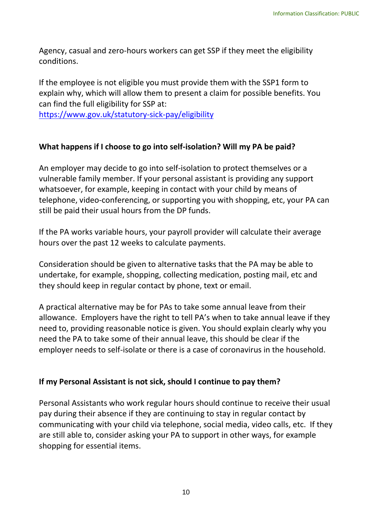Agency, casual and zero-hours workers can get SSP if they meet the eligibility conditions.

 If the employee is not eligible you must provide them with the SSP1 form to explain why, which will allow them to present a claim for possible benefits. You can find the full eligibility for SSP at:

<https://www.gov.uk/statutory-sick-pay/eligibility>

## **What happens if I choose to go into self-isolation? Will my PA be paid?**

 whatsoever, for example, keeping in contact with your child by means of An employer may decide to go into self-isolation to protect themselves or a vulnerable family member. If your personal assistant is providing any support telephone, video-conferencing, or supporting you with shopping, etc, your PA can still be paid their usual hours from the DP funds.

 hours over the past 12 weeks to calculate payments. If the PA works variable hours, your payroll provider will calculate their average

 Consideration should be given to alternative tasks that the PA may be able to they should keep in regular contact by phone, text or email. undertake, for example, shopping, collecting medication, posting mail, etc and

 A practical alternative may be for PAs to take some annual leave from their allowance. Employers have the right to tell PA's when to take annual leave if they need to, providing reasonable notice is given. You should explain clearly why you employer needs to self-isolate or there is a case of coronavirus in the household. need the PA to take some of their annual leave, this should be clear if the

#### **If my Personal Assistant is not sick, should I continue to pay them?**

 communicating with your child via telephone, social media, video calls, etc. If they shopping for essential items. Personal Assistants who work regular hours should continue to receive their usual pay during their absence if they are continuing to stay in regular contact by are still able to, consider asking your PA to support in other ways, for example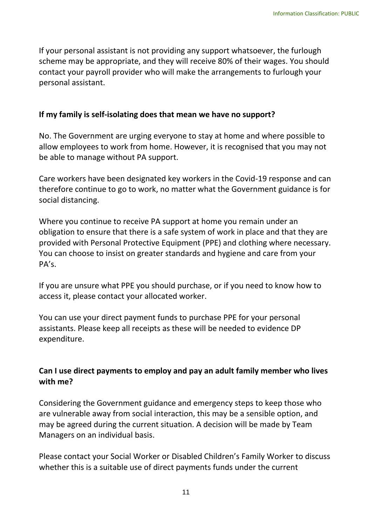scheme may be appropriate, and they will receive 80% of their wages. You should If your personal assistant is not providing any support whatsoever, the furlough contact your payroll provider who will make the arrangements to furlough your personal assistant.

#### **If my family is self-isolating does that mean we have no support?**

 No. The Government are urging everyone to stay at home and where possible to allow employees to work from home. However, it is recognised that you may not be able to manage without PA support.

 Care workers have been designated key workers in the Covid-19 response and can therefore continue to go to work, no matter what the Government guidance is for social distancing.

 Where you continue to receive PA support at home you remain under an obligation to ensure that there is a safe system of work in place and that they are provided with Personal Protective Equipment (PPE) and clothing where necessary. You can choose to insist on greater standards and hygiene and care from your PA's.

 If you are unsure what PPE you should purchase, or if you need to know how to access it, please contact your allocated worker.

 You can use your direct payment funds to purchase PPE for your personal assistants. Please keep all receipts as these will be needed to evidence DP expenditure.

## **Can I use direct payments to employ and pay an adult family member who lives with me?**

 Managers on an individual basis. Considering the Government guidance and emergency steps to keep those who are vulnerable away from social interaction, this may be a sensible option, and may be agreed during the current situation. A decision will be made by Team

Please contact your Social Worker or Disabled Children's Family Worker to discuss whether this is a suitable use of direct payments funds under the current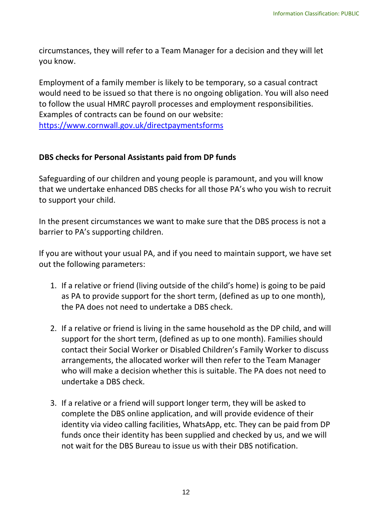circumstances, they will refer to a Team Manager for a decision and they will let you know.

 would need to be issued so that there is no ongoing obligation. You will also need Examples of contracts can be found on our website: Employment of a family member is likely to be temporary, so a casual contract to follow the usual HMRC payroll processes and employment responsibilities. [https://www.cornwall.gov.uk/directpaymentsforms](https://eur03.safelinks.protection.outlook.com/?url=https%3A%2F%2Fwww.cornwall.gov.uk%2Fdirectpaymentsforms&data=02%7C01%7Calan.anderson%40cornwall.gov.uk%7C038254526c2b47b993ca08d7ccf7cdf7%7Cefaa16aad1de4d58ba2e2833fdfdd29f%7C0%7C0%7C637203236993564170&sdata=ubl1P8No%2FQxhtroe0MqmQZJF2mkQD0y4sHOx0kjBWII%3D&reserved=0) 

### **DBS checks for Personal Assistants paid from DP funds**

 Safeguarding of our children and young people is paramount, and you will know that we undertake enhanced DBS checks for all those PA's who you wish to recruit to support your child.

In the present circumstances we want to make sure that the DBS process is not a barrier to PA's supporting children.

 If you are without your usual PA, and if you need to maintain support, we have set out the following parameters:

- 1. If a relative or friend (living outside of the child's home) is going to be paid as PA to provide support for the short term, (defined as up to one month), the PA does not need to undertake a DBS check.
- 2. If a relative or friend is living in the same household as the DP child, and will support for the short term, (defined as up to one month). Families should who will make a decision whether this is suitable. The PA does not need to contact their Social Worker or Disabled Children's Family Worker to discuss arrangements, the allocated worker will then refer to the Team Manager undertake a DBS check.
- 3. If a relative or a friend will support longer term, they will be asked to complete the DBS online application, and will provide evidence of their identity via video calling facilities, WhatsApp, etc. They can be paid from DP funds once their identity has been supplied and checked by us, and we will not wait for the DBS Bureau to issue us with their DBS notification.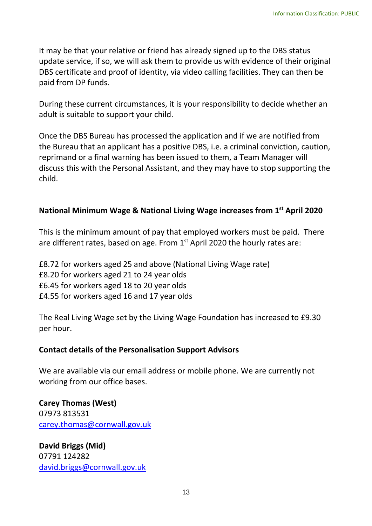It may be that your relative or friend has already signed up to the DBS status update service, if so, we will ask them to provide us with evidence of their original DBS certificate and proof of identity, via video calling facilities. They can then be paid from DP funds.

 During these current circumstances, it is your responsibility to decide whether an adult is suitable to support your child.

 Once the DBS Bureau has processed the application and if we are notified from the Bureau that an applicant has a positive DBS, i.e. a criminal conviction, caution, reprimand or a final warning has been issued to them, a Team Manager will discuss this with the Personal Assistant, and they may have to stop supporting the child.

## **National Minimum Wage & National Living Wage increases from 1st April 2020**

 This is the minimum amount of pay that employed workers must be paid. There are different rates, based on age. From 1<sup>st</sup> April 2020 the hourly rates are:<br>£8.72 for workers aged 25 and above (National Living Wage rate)

£8.72 for workers aged 25 and above (National Living Wage rate) £8.20 for workers aged 21 to 24 year olds £6.45 for workers aged 18 to 20 year olds £4.55 for workers aged 16 and 17 year olds

 The Real Living Wage set by the Living Wage Foundation has increased to £9.30 per hour.

## **Contact details of the Personalisation Support Advisors**

 We are available via our email address or mobile phone. We are currently not working from our office bases.

**Carey Thomas (West)**  07973 813531 [carey.thomas@cornwall.gov.uk](mailto:carey.thomas@cornwall.gov.uk) 

**David Briggs (Mid)**  07791 124282 [david.briggs@cornwall.gov.uk](mailto:david.briggs@cornwall.gov.uk)